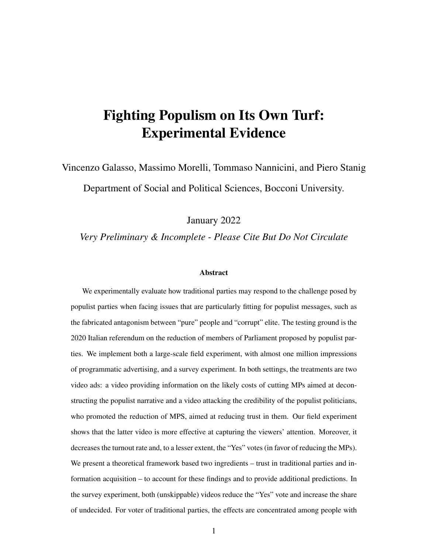# Fighting Populism on Its Own Turf: Experimental Evidence

Vincenzo Galasso, Massimo Morelli, Tommaso Nannicini, and Piero Stanig Department of Social and Political Sciences, Bocconi University.

January 2022

*Very Preliminary & Incomplete - Please Cite But Do Not Circulate*

#### Abstract

We experimentally evaluate how traditional parties may respond to the challenge posed by populist parties when facing issues that are particularly fitting for populist messages, such as the fabricated antagonism between "pure" people and "corrupt" elite. The testing ground is the 2020 Italian referendum on the reduction of members of Parliament proposed by populist parties. We implement both a large-scale field experiment, with almost one million impressions of programmatic advertising, and a survey experiment. In both settings, the treatments are two video ads: a video providing information on the likely costs of cutting MPs aimed at deconstructing the populist narrative and a video attacking the credibility of the populist politicians, who promoted the reduction of MPS, aimed at reducing trust in them. Our field experiment shows that the latter video is more effective at capturing the viewers' attention. Moreover, it decreases the turnout rate and, to a lesser extent, the "Yes" votes (in favor of reducing the MPs). We present a theoretical framework based two ingredients – trust in traditional parties and information acquisition – to account for these findings and to provide additional predictions. In the survey experiment, both (unskippable) videos reduce the "Yes" vote and increase the share of undecided. For voter of traditional parties, the effects are concentrated among people with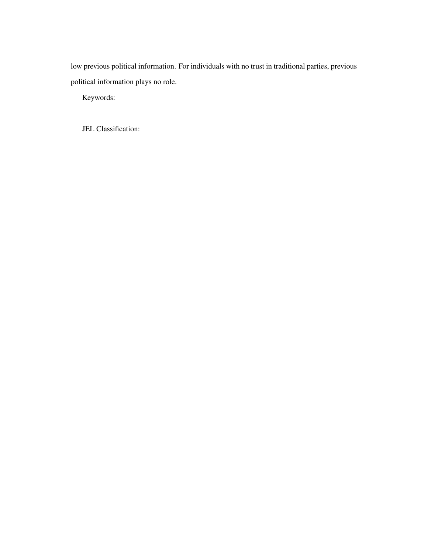low previous political information. For individuals with no trust in traditional parties, previous political information plays no role.

Keywords:

JEL Classification: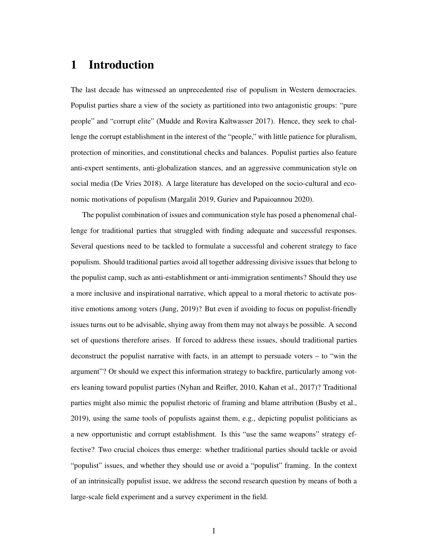### 1 Introduction

The last decade has witnessed an unprecedented rise of populism in Western democracies. Populist parties share a view of the society as partitioned into two antagonistic groups: "pure people" and "corrupt elite" (Mudde and Rovira Kaltwasser 2017). Hence, they seek to challenge the corrupt establishment in the interest of the "people," with little patience for pluralism, protection of minorities, and constitutional checks and balances. Populist parties also feature anti-expert sentiments, anti-globalization stances, and an aggressive communication style on social media (De Vries 2018). A large literature has developed on the socio-cultural and economic motivations of populism (Margalit 2019, Guriev and Papaioannou 2020).

The populist combination of issues and communication style has posed a phenomenal challenge for traditional parties that struggled with finding adequate and successful responses. Several questions need to be tackled to formulate a successful and coherent strategy to face populism. Should traditional parties avoid all together addressing divisive issues that belong to the populist camp, such as anti-establishment or anti-immigration sentiments? Should they use a more inclusive and inspirational narrative, which appeal to a moral rhetoric to activate positive emotions among voters (Jung, 2019)? But even if avoiding to focus on populist-friendly issues turns out to be advisable, shying away from them may not always be possible. A second set of questions therefore arises. If forced to address these issues, should traditional parties deconstruct the populist narrative with facts, in an attempt to persuade voters – to "win the argument"? Or should we expect this information strategy to backfire, particularly among voters leaning toward populist parties (Nyhan and Reifler, 2010, Kahan et al., 2017)? Traditional parties might also mimic the populist rhetoric of framing and blame attribution (Busby et al., 2019), using the same tools of populists against them, e.g., depicting populist politicians as a new opportunistic and corrupt establishment. Is this "use the same weapons" strategy effective? Two crucial choices thus emerge: whether traditional parties should tackle or avoid "populist" issues, and whether they should use or avoid a "populist" framing. In the context of an intrinsically populist issue, we address the second research question by means of both a large-scale field experiment and a survey experiment in the field.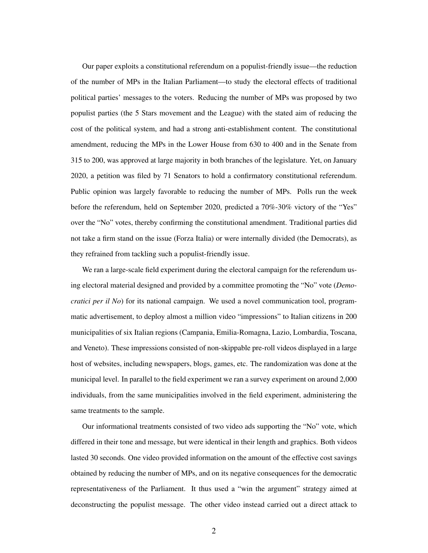Our paper exploits a constitutional referendum on a populist-friendly issue—the reduction of the number of MPs in the Italian Parliament—to study the electoral effects of traditional political parties' messages to the voters. Reducing the number of MPs was proposed by two populist parties (the 5 Stars movement and the League) with the stated aim of reducing the cost of the political system, and had a strong anti-establishment content. The constitutional amendment, reducing the MPs in the Lower House from 630 to 400 and in the Senate from 315 to 200, was approved at large majority in both branches of the legislature. Yet, on January 2020, a petition was filed by 71 Senators to hold a confirmatory constitutional referendum. Public opinion was largely favorable to reducing the number of MPs. Polls run the week before the referendum, held on September 2020, predicted a 70%-30% victory of the "Yes" over the "No" votes, thereby confirming the constitutional amendment. Traditional parties did not take a firm stand on the issue (Forza Italia) or were internally divided (the Democrats), as they refrained from tackling such a populist-friendly issue.

We ran a large-scale field experiment during the electoral campaign for the referendum using electoral material designed and provided by a committee promoting the "No" vote (*Democratici per il No*) for its national campaign. We used a novel communication tool, programmatic advertisement, to deploy almost a million video "impressions" to Italian citizens in 200 municipalities of six Italian regions (Campania, Emilia-Romagna, Lazio, Lombardia, Toscana, and Veneto). These impressions consisted of non-skippable pre-roll videos displayed in a large host of websites, including newspapers, blogs, games, etc. The randomization was done at the municipal level. In parallel to the field experiment we ran a survey experiment on around 2,000 individuals, from the same municipalities involved in the field experiment, administering the same treatments to the sample.

Our informational treatments consisted of two video ads supporting the "No" vote, which differed in their tone and message, but were identical in their length and graphics. Both videos lasted 30 seconds. One video provided information on the amount of the effective cost savings obtained by reducing the number of MPs, and on its negative consequences for the democratic representativeness of the Parliament. It thus used a "win the argument" strategy aimed at deconstructing the populist message. The other video instead carried out a direct attack to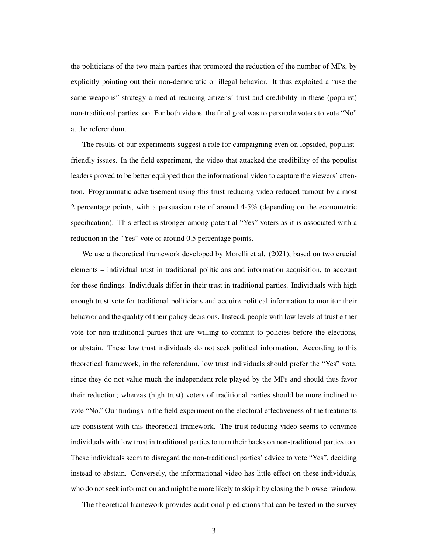the politicians of the two main parties that promoted the reduction of the number of MPs, by explicitly pointing out their non-democratic or illegal behavior. It thus exploited a "use the same weapons" strategy aimed at reducing citizens' trust and credibility in these (populist) non-traditional parties too. For both videos, the final goal was to persuade voters to vote "No" at the referendum.

The results of our experiments suggest a role for campaigning even on lopsided, populistfriendly issues. In the field experiment, the video that attacked the credibility of the populist leaders proved to be better equipped than the informational video to capture the viewers' attention. Programmatic advertisement using this trust-reducing video reduced turnout by almost 2 percentage points, with a persuasion rate of around 4-5% (depending on the econometric specification). This effect is stronger among potential "Yes" voters as it is associated with a reduction in the "Yes" vote of around 0.5 percentage points.

We use a theoretical framework developed by Morelli et al. (2021), based on two crucial elements – individual trust in traditional politicians and information acquisition, to account for these findings. Individuals differ in their trust in traditional parties. Individuals with high enough trust vote for traditional politicians and acquire political information to monitor their behavior and the quality of their policy decisions. Instead, people with low levels of trust either vote for non-traditional parties that are willing to commit to policies before the elections, or abstain. These low trust individuals do not seek political information. According to this theoretical framework, in the referendum, low trust individuals should prefer the "Yes" vote, since they do not value much the independent role played by the MPs and should thus favor their reduction; whereas (high trust) voters of traditional parties should be more inclined to vote "No." Our findings in the field experiment on the electoral effectiveness of the treatments are consistent with this theoretical framework. The trust reducing video seems to convince individuals with low trust in traditional parties to turn their backs on non-traditional parties too. These individuals seem to disregard the non-traditional parties' advice to vote "Yes", deciding instead to abstain. Conversely, the informational video has little effect on these individuals, who do not seek information and might be more likely to skip it by closing the browser window.

The theoretical framework provides additional predictions that can be tested in the survey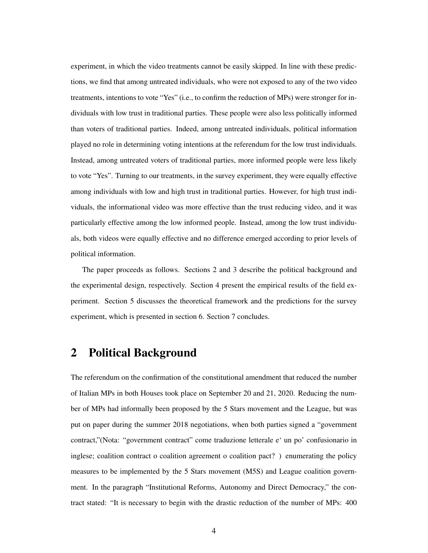experiment, in which the video treatments cannot be easily skipped. In line with these predictions, we find that among untreated individuals, who were not exposed to any of the two video treatments, intentions to vote "Yes" (i.e., to confirm the reduction of MPs) were stronger for individuals with low trust in traditional parties. These people were also less politically informed than voters of traditional parties. Indeed, among untreated individuals, political information played no role in determining voting intentions at the referendum for the low trust individuals. Instead, among untreated voters of traditional parties, more informed people were less likely to vote "Yes". Turning to our treatments, in the survey experiment, they were equally effective among individuals with low and high trust in traditional parties. However, for high trust individuals, the informational video was more effective than the trust reducing video, and it was particularly effective among the low informed people. Instead, among the low trust individuals, both videos were equally effective and no difference emerged according to prior levels of political information.

The paper proceeds as follows. Sections 2 and 3 describe the political background and the experimental design, respectively. Section 4 present the empirical results of the field experiment. Section 5 discusses the theoretical framework and the predictions for the survey experiment, which is presented in section 6. Section 7 concludes.

### 2 Political Background

The referendum on the confirmation of the constitutional amendment that reduced the number of Italian MPs in both Houses took place on September 20 and 21, 2020. Reducing the number of MPs had informally been proposed by the 5 Stars movement and the League, but was put on paper during the summer 2018 negotiations, when both parties signed a "government contract,"(Nota: "government contract" come traduzione letterale e' un po' confusionario in inglese; coalition contract o coalition agreement o coalition pact? ) enumerating the policy measures to be implemented by the 5 Stars movement (M5S) and League coalition government. In the paragraph "Institutional Reforms, Autonomy and Direct Democracy," the contract stated: "It is necessary to begin with the drastic reduction of the number of MPs: 400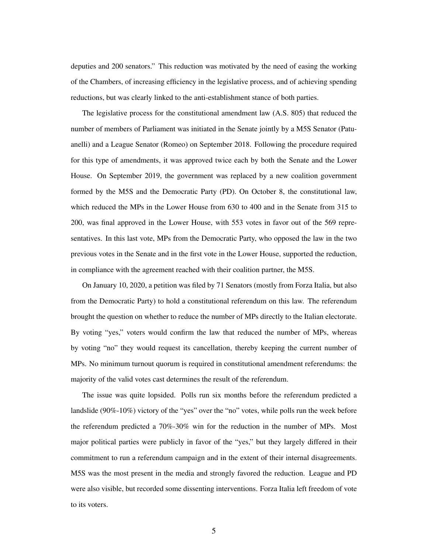deputies and 200 senators." This reduction was motivated by the need of easing the working of the Chambers, of increasing efficiency in the legislative process, and of achieving spending reductions, but was clearly linked to the anti-establishment stance of both parties.

The legislative process for the constitutional amendment law (A.S. 805) that reduced the number of members of Parliament was initiated in the Senate jointly by a M5S Senator (Patuanelli) and a League Senator (Romeo) on September 2018. Following the procedure required for this type of amendments, it was approved twice each by both the Senate and the Lower House. On September 2019, the government was replaced by a new coalition government formed by the M5S and the Democratic Party (PD). On October 8, the constitutional law, which reduced the MPs in the Lower House from 630 to 400 and in the Senate from 315 to 200, was final approved in the Lower House, with 553 votes in favor out of the 569 representatives. In this last vote, MPs from the Democratic Party, who opposed the law in the two previous votes in the Senate and in the first vote in the Lower House, supported the reduction, in compliance with the agreement reached with their coalition partner, the M5S.

On January 10, 2020, a petition was filed by 71 Senators (mostly from Forza Italia, but also from the Democratic Party) to hold a constitutional referendum on this law. The referendum brought the question on whether to reduce the number of MPs directly to the Italian electorate. By voting "yes," voters would confirm the law that reduced the number of MPs, whereas by voting "no" they would request its cancellation, thereby keeping the current number of MPs. No minimum turnout quorum is required in constitutional amendment referendums: the majority of the valid votes cast determines the result of the referendum.

The issue was quite lopsided. Polls run six months before the referendum predicted a landslide (90%-10%) victory of the "yes" over the "no" votes, while polls run the week before the referendum predicted a 70%-30% win for the reduction in the number of MPs. Most major political parties were publicly in favor of the "yes," but they largely differed in their commitment to run a referendum campaign and in the extent of their internal disagreements. M5S was the most present in the media and strongly favored the reduction. League and PD were also visible, but recorded some dissenting interventions. Forza Italia left freedom of vote to its voters.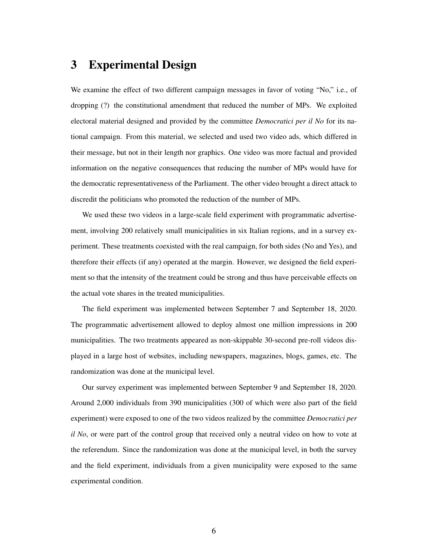### 3 Experimental Design

We examine the effect of two different campaign messages in favor of voting "No," i.e., of dropping (?) the constitutional amendment that reduced the number of MPs. We exploited electoral material designed and provided by the committee *Democratici per il No* for its national campaign. From this material, we selected and used two video ads, which differed in their message, but not in their length nor graphics. One video was more factual and provided information on the negative consequences that reducing the number of MPs would have for the democratic representativeness of the Parliament. The other video brought a direct attack to discredit the politicians who promoted the reduction of the number of MPs.

We used these two videos in a large-scale field experiment with programmatic advertisement, involving 200 relatively small municipalities in six Italian regions, and in a survey experiment. These treatments coexisted with the real campaign, for both sides (No and Yes), and therefore their effects (if any) operated at the margin. However, we designed the field experiment so that the intensity of the treatment could be strong and thus have perceivable effects on the actual vote shares in the treated municipalities.

The field experiment was implemented between September 7 and September 18, 2020. The programmatic advertisement allowed to deploy almost one million impressions in 200 municipalities. The two treatments appeared as non-skippable 30-second pre-roll videos displayed in a large host of websites, including newspapers, magazines, blogs, games, etc. The randomization was done at the municipal level.

Our survey experiment was implemented between September 9 and September 18, 2020. Around 2,000 individuals from 390 municipalities (300 of which were also part of the field experiment) were exposed to one of the two videos realized by the committee *Democratici per il No*, or were part of the control group that received only a neutral video on how to vote at the referendum. Since the randomization was done at the municipal level, in both the survey and the field experiment, individuals from a given municipality were exposed to the same experimental condition.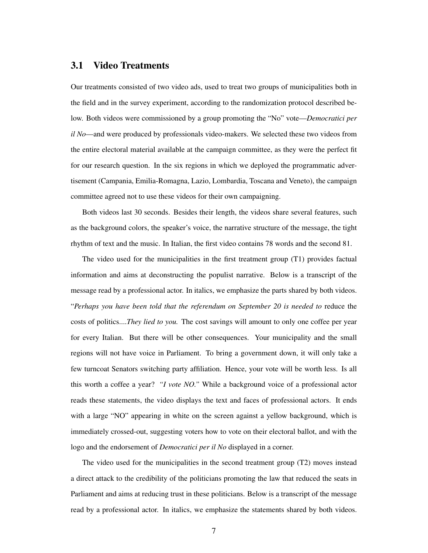### 3.1 Video Treatments

Our treatments consisted of two video ads, used to treat two groups of municipalities both in the field and in the survey experiment, according to the randomization protocol described below. Both videos were commissioned by a group promoting the "No" vote—*Democratici per il No*—and were produced by professionals video-makers. We selected these two videos from the entire electoral material available at the campaign committee, as they were the perfect fit for our research question. In the six regions in which we deployed the programmatic advertisement (Campania, Emilia-Romagna, Lazio, Lombardia, Toscana and Veneto), the campaign committee agreed not to use these videos for their own campaigning.

Both videos last 30 seconds. Besides their length, the videos share several features, such as the background colors, the speaker's voice, the narrative structure of the message, the tight rhythm of text and the music. In Italian, the first video contains 78 words and the second 81.

The video used for the municipalities in the first treatment group (T1) provides factual information and aims at deconstructing the populist narrative. Below is a transcript of the message read by a professional actor. In italics, we emphasize the parts shared by both videos. "*Perhaps you have been told that the referendum on September 20 is needed to* reduce the costs of politics....*They lied to you.* The cost savings will amount to only one coffee per year for every Italian. But there will be other consequences. Your municipality and the small regions will not have voice in Parliament. To bring a government down, it will only take a few turncoat Senators switching party affiliation. Hence, your vote will be worth less. Is all this worth a coffee a year? *"I vote NO."* While a background voice of a professional actor reads these statements, the video displays the text and faces of professional actors. It ends with a large "NO" appearing in white on the screen against a yellow background, which is immediately crossed-out, suggesting voters how to vote on their electoral ballot, and with the logo and the endorsement of *Democratici per il No* displayed in a corner.

The video used for the municipalities in the second treatment group (T2) moves instead a direct attack to the credibility of the politicians promoting the law that reduced the seats in Parliament and aims at reducing trust in these politicians. Below is a transcript of the message read by a professional actor. In italics, we emphasize the statements shared by both videos.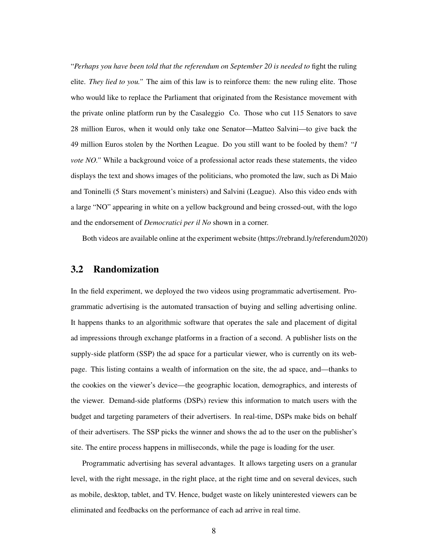"*Perhaps you have been told that the referendum on September 20 is needed to* fight the ruling elite. *They lied to you."* The aim of this law is to reinforce them: the new ruling elite. Those who would like to replace the Parliament that originated from the Resistance movement with the private online platform run by the Casaleggio Co. Those who cut 115 Senators to save 28 million Euros, when it would only take one Senator—Matteo Salvini—to give back the 49 million Euros stolen by the Northen League. Do you still want to be fooled by them? "*I vote NO.*" While a background voice of a professional actor reads these statements, the video displays the text and shows images of the politicians, who promoted the law, such as Di Maio and Toninelli (5 Stars movement's ministers) and Salvini (League). Also this video ends with a large "NO" appearing in white on a yellow background and being crossed-out, with the logo and the endorsement of *Democratici per il No* shown in a corner.

Both videos are available online at the experiment website (https://rebrand.ly/referendum2020)

### 3.2 Randomization

In the field experiment, we deployed the two videos using programmatic advertisement. Programmatic advertising is the automated transaction of buying and selling advertising online. It happens thanks to an algorithmic software that operates the sale and placement of digital ad impressions through exchange platforms in a fraction of a second. A publisher lists on the supply-side platform (SSP) the ad space for a particular viewer, who is currently on its webpage. This listing contains a wealth of information on the site, the ad space, and—thanks to the cookies on the viewer's device—the geographic location, demographics, and interests of the viewer. Demand-side platforms (DSPs) review this information to match users with the budget and targeting parameters of their advertisers. In real-time, DSPs make bids on behalf of their advertisers. The SSP picks the winner and shows the ad to the user on the publisher's site. The entire process happens in milliseconds, while the page is loading for the user.

Programmatic advertising has several advantages. It allows targeting users on a granular level, with the right message, in the right place, at the right time and on several devices, such as mobile, desktop, tablet, and TV. Hence, budget waste on likely uninterested viewers can be eliminated and feedbacks on the performance of each ad arrive in real time.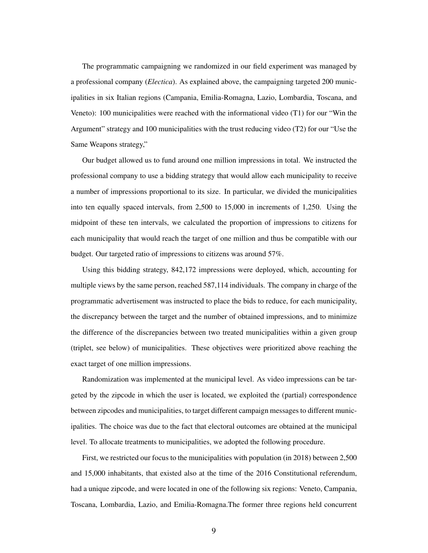The programmatic campaigning we randomized in our field experiment was managed by a professional company (*Electica*). As explained above, the campaigning targeted 200 municipalities in six Italian regions (Campania, Emilia-Romagna, Lazio, Lombardia, Toscana, and Veneto): 100 municipalities were reached with the informational video (T1) for our "Win the Argument" strategy and 100 municipalities with the trust reducing video (T2) for our "Use the Same Weapons strategy,"

Our budget allowed us to fund around one million impressions in total. We instructed the professional company to use a bidding strategy that would allow each municipality to receive a number of impressions proportional to its size. In particular, we divided the municipalities into ten equally spaced intervals, from 2,500 to 15,000 in increments of 1,250. Using the midpoint of these ten intervals, we calculated the proportion of impressions to citizens for each municipality that would reach the target of one million and thus be compatible with our budget. Our targeted ratio of impressions to citizens was around 57%.

Using this bidding strategy, 842,172 impressions were deployed, which, accounting for multiple views by the same person, reached 587,114 individuals. The company in charge of the programmatic advertisement was instructed to place the bids to reduce, for each municipality, the discrepancy between the target and the number of obtained impressions, and to minimize the difference of the discrepancies between two treated municipalities within a given group (triplet, see below) of municipalities. These objectives were prioritized above reaching the exact target of one million impressions.

Randomization was implemented at the municipal level. As video impressions can be targeted by the zipcode in which the user is located, we exploited the (partial) correspondence between zipcodes and municipalities, to target different campaign messages to different municipalities. The choice was due to the fact that electoral outcomes are obtained at the municipal level. To allocate treatments to municipalities, we adopted the following procedure.

First, we restricted our focus to the municipalities with population (in 2018) between 2,500 and 15,000 inhabitants, that existed also at the time of the 2016 Constitutional referendum, had a unique zipcode, and were located in one of the following six regions: Veneto, Campania, Toscana, Lombardia, Lazio, and Emilia-Romagna.The former three regions held concurrent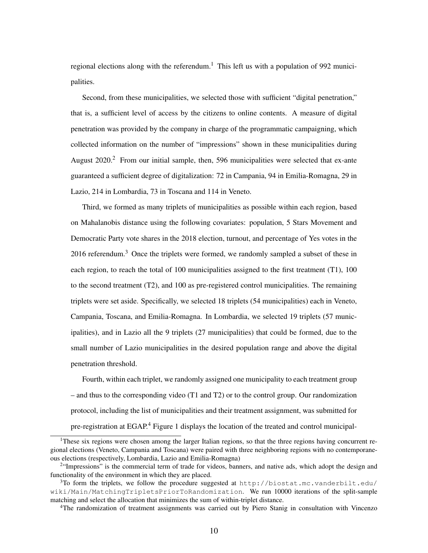regional elections along with the referendum.<sup>1</sup> This left us with a population of 992 municipalities.

Second, from these municipalities, we selected those with sufficient "digital penetration," that is, a sufficient level of access by the citizens to online contents. A measure of digital penetration was provided by the company in charge of the programmatic campaigning, which collected information on the number of "impressions" shown in these municipalities during August 2020.<sup>2</sup> From our initial sample, then, 596 municipalities were selected that ex-ante guaranteed a sufficient degree of digitalization: 72 in Campania, 94 in Emilia-Romagna, 29 in Lazio, 214 in Lombardia, 73 in Toscana and 114 in Veneto.

Third, we formed as many triplets of municipalities as possible within each region, based on Mahalanobis distance using the following covariates: population, 5 Stars Movement and Democratic Party vote shares in the 2018 election, turnout, and percentage of Yes votes in the 2016 referendum.<sup>3</sup> Once the triplets were formed, we randomly sampled a subset of these in each region, to reach the total of 100 municipalities assigned to the first treatment (T1), 100 to the second treatment (T2), and 100 as pre-registered control municipalities. The remaining triplets were set aside. Specifically, we selected 18 triplets (54 municipalities) each in Veneto, Campania, Toscana, and Emilia-Romagna. In Lombardia, we selected 19 triplets (57 municipalities), and in Lazio all the 9 triplets (27 municipalities) that could be formed, due to the small number of Lazio municipalities in the desired population range and above the digital penetration threshold.

Fourth, within each triplet, we randomly assigned one municipality to each treatment group – and thus to the corresponding video (T1 and T2) or to the control group. Our randomization protocol, including the list of municipalities and their treatment assignment, was submitted for pre-registration at EGAP.<sup>4</sup> Figure 1 displays the location of the treated and control municipal-

<sup>&</sup>lt;sup>1</sup>These six regions were chosen among the larger Italian regions, so that the three regions having concurrent regional elections (Veneto, Campania and Toscana) were paired with three neighboring regions with no contemporaneous elections (respectively, Lombardia, Lazio and Emilia-Romagna)

<sup>&</sup>lt;sup>2</sup>"Impressions" is the commercial term of trade for videos, banners, and native ads, which adopt the design and functionality of the environment in which they are placed.

 $3$ To form the triplets, we follow the procedure suggested at  $http://biostat.mc.vanderbilt.edu/$ wiki/Main/MatchingTripletsPriorToRandomization. We run 10000 iterations of the split-sample matching and select the allocation that minimizes the sum of within-triplet distance.

<sup>4</sup>The randomization of treatment assignments was carried out by Piero Stanig in consultation with Vincenzo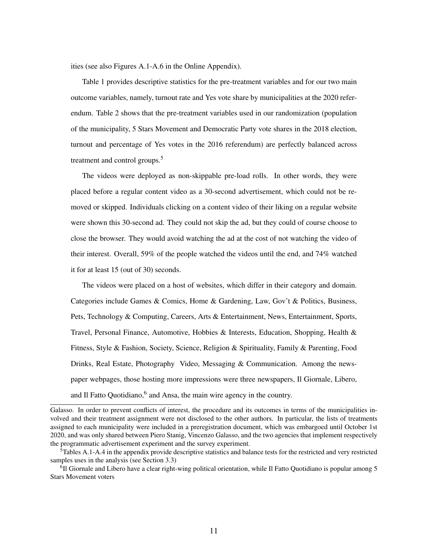ities (see also Figures A.1-A.6 in the Online Appendix).

Table 1 provides descriptive statistics for the pre-treatment variables and for our two main outcome variables, namely, turnout rate and Yes vote share by municipalities at the 2020 referendum. Table 2 shows that the pre-treatment variables used in our randomization (population of the municipality, 5 Stars Movement and Democratic Party vote shares in the 2018 election, turnout and percentage of Yes votes in the 2016 referendum) are perfectly balanced across treatment and control groups.<sup>5</sup>

The videos were deployed as non-skippable pre-load rolls. In other words, they were placed before a regular content video as a 30-second advertisement, which could not be removed or skipped. Individuals clicking on a content video of their liking on a regular website were shown this 30-second ad. They could not skip the ad, but they could of course choose to close the browser. They would avoid watching the ad at the cost of not watching the video of their interest. Overall, 59% of the people watched the videos until the end, and 74% watched it for at least 15 (out of 30) seconds.

The videos were placed on a host of websites, which differ in their category and domain. Categories include Games & Comics, Home & Gardening, Law, Gov't & Politics, Business, Pets, Technology & Computing, Careers, Arts & Entertainment, News, Entertainment, Sports, Travel, Personal Finance, Automotive, Hobbies & Interests, Education, Shopping, Health & Fitness, Style & Fashion, Society, Science, Religion & Spirituality, Family & Parenting, Food Drinks, Real Estate, Photography Video, Messaging & Communication. Among the newspaper webpages, those hosting more impressions were three newspapers, Il Giornale, Libero, and Il Fatto Quotidiano,<sup>6</sup> and Ansa, the main wire agency in the country.

Galasso. In order to prevent conflicts of interest, the procedure and its outcomes in terms of the municipalities involved and their treatment assignment were not disclosed to the other authors. In particular, the lists of treatments assigned to each municipality were included in a preregistration document, which was embargoed until October 1st 2020, and was only shared between Piero Stanig, Vincenzo Galasso, and the two agencies that implement respectively the programmatic advertisement experiment and the survey experiment.

 ${}^{5}$ Tables A.1-A.4 in the appendix provide descriptive statistics and balance tests for the restricted and very restricted samples uses in the analysis (see Section 3.3)

<sup>&</sup>lt;sup>6</sup>Il Giornale and Libero have a clear right-wing political orientation, while Il Fatto Quotidiano is popular among 5 Stars Movement voters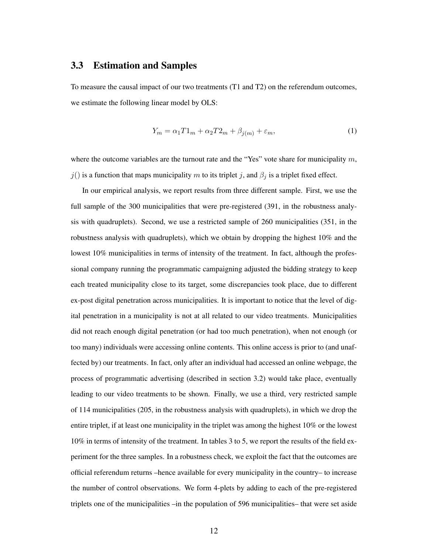#### 3.3 Estimation and Samples

To measure the causal impact of our two treatments (T1 and T2) on the referendum outcomes, we estimate the following linear model by OLS:

$$
Y_m = \alpha_1 T 1_m + \alpha_2 T 2_m + \beta_{j(m)} + \varepsilon_m,\tag{1}
$$

where the outcome variables are the turnout rate and the "Yes" vote share for municipality  $m$ ,  $j()$  is a function that maps municipality m to its triplet j, and  $\beta_j$  is a triplet fixed effect.

In our empirical analysis, we report results from three different sample. First, we use the full sample of the 300 municipalities that were pre-registered (391, in the robustness analysis with quadruplets). Second, we use a restricted sample of 260 municipalities (351, in the robustness analysis with quadruplets), which we obtain by dropping the highest 10% and the lowest 10% municipalities in terms of intensity of the treatment. In fact, although the professional company running the programmatic campaigning adjusted the bidding strategy to keep each treated municipality close to its target, some discrepancies took place, due to different ex-post digital penetration across municipalities. It is important to notice that the level of digital penetration in a municipality is not at all related to our video treatments. Municipalities did not reach enough digital penetration (or had too much penetration), when not enough (or too many) individuals were accessing online contents. This online access is prior to (and unaffected by) our treatments. In fact, only after an individual had accessed an online webpage, the process of programmatic advertising (described in section 3.2) would take place, eventually leading to our video treatments to be shown. Finally, we use a third, very restricted sample of 114 municipalities (205, in the robustness analysis with quadruplets), in which we drop the entire triplet, if at least one municipality in the triplet was among the highest 10% or the lowest 10% in terms of intensity of the treatment. In tables 3 to 5, we report the results of the field experiment for the three samples. In a robustness check, we exploit the fact that the outcomes are official referendum returns –hence available for every municipality in the country– to increase the number of control observations. We form 4-plets by adding to each of the pre-registered triplets one of the municipalities –in the population of 596 municipalities– that were set aside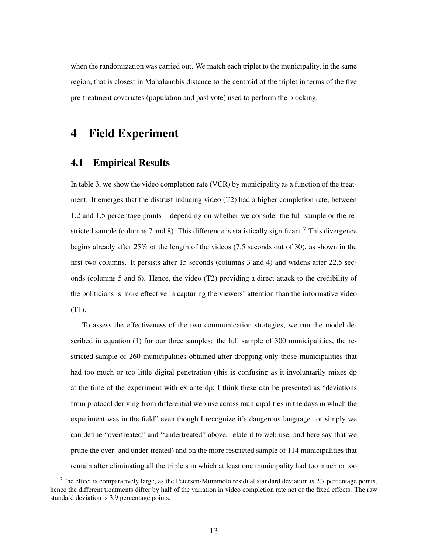when the randomization was carried out. We match each triplet to the municipality, in the same region, that is closest in Mahalanobis distance to the centroid of the triplet in terms of the five pre-treatment covariates (population and past vote) used to perform the blocking.

### 4 Field Experiment

### 4.1 Empirical Results

In table 3, we show the video completion rate (VCR) by municipality as a function of the treatment. It emerges that the distrust inducing video (T2) had a higher completion rate, between 1.2 and 1.5 percentage points – depending on whether we consider the full sample or the restricted sample (columns 7 and 8). This difference is statistically significant.<sup>7</sup> This divergence begins already after 25% of the length of the videos (7.5 seconds out of 30), as shown in the first two columns. It persists after 15 seconds (columns 3 and 4) and widens after 22.5 seconds (columns 5 and 6). Hence, the video (T2) providing a direct attack to the credibility of the politicians is more effective in capturing the viewers' attention than the informative video (T1).

To assess the effectiveness of the two communication strategies, we run the model described in equation (1) for our three samples: the full sample of 300 municipalities, the restricted sample of 260 municipalities obtained after dropping only those municipalities that had too much or too little digital penetration (this is confusing as it involuntarily mixes dp at the time of the experiment with ex ante dp; I think these can be presented as "deviations from protocol deriving from differential web use across municipalities in the days in which the experiment was in the field" even though I recognize it's dangerous language...or simply we can define "overtreated" and "undertreated" above, relate it to web use, and here say that we prune the over- and under-treated) and on the more restricted sample of 114 municipalities that remain after eliminating all the triplets in which at least one municipality had too much or too

<sup>&</sup>lt;sup>7</sup>The effect is comparatively large, as the Petersen-Mummolo residual standard deviation is 2.7 percentage points, hence the different treatments differ by half of the variation in video completion rate net of the fixed effects. The raw standard deviation is 3.9 percentage points.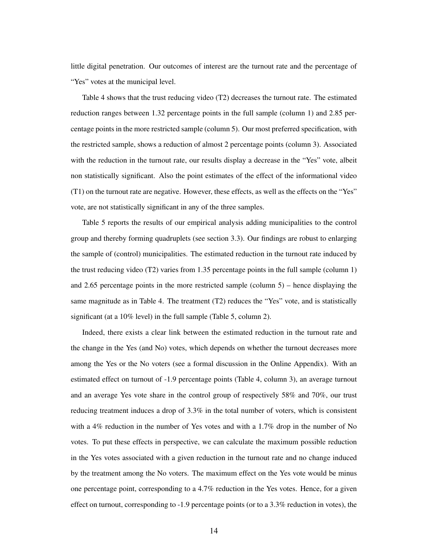little digital penetration. Our outcomes of interest are the turnout rate and the percentage of "Yes" votes at the municipal level.

Table 4 shows that the trust reducing video (T2) decreases the turnout rate. The estimated reduction ranges between 1.32 percentage points in the full sample (column 1) and 2.85 percentage points in the more restricted sample (column 5). Our most preferred specification, with the restricted sample, shows a reduction of almost 2 percentage points (column 3). Associated with the reduction in the turnout rate, our results display a decrease in the "Yes" vote, albeit non statistically significant. Also the point estimates of the effect of the informational video (T1) on the turnout rate are negative. However, these effects, as well as the effects on the "Yes" vote, are not statistically significant in any of the three samples.

Table 5 reports the results of our empirical analysis adding municipalities to the control group and thereby forming quadruplets (see section 3.3). Our findings are robust to enlarging the sample of (control) municipalities. The estimated reduction in the turnout rate induced by the trust reducing video (T2) varies from 1.35 percentage points in the full sample (column 1) and 2.65 percentage points in the more restricted sample (column  $5$ ) – hence displaying the same magnitude as in Table 4. The treatment (T2) reduces the "Yes" vote, and is statistically significant (at a 10% level) in the full sample (Table 5, column 2).

Indeed, there exists a clear link between the estimated reduction in the turnout rate and the change in the Yes (and No) votes, which depends on whether the turnout decreases more among the Yes or the No voters (see a formal discussion in the Online Appendix). With an estimated effect on turnout of -1.9 percentage points (Table 4, column 3), an average turnout and an average Yes vote share in the control group of respectively 58% and 70%, our trust reducing treatment induces a drop of 3.3% in the total number of voters, which is consistent with a 4% reduction in the number of Yes votes and with a 1.7% drop in the number of No votes. To put these effects in perspective, we can calculate the maximum possible reduction in the Yes votes associated with a given reduction in the turnout rate and no change induced by the treatment among the No voters. The maximum effect on the Yes vote would be minus one percentage point, corresponding to a 4.7% reduction in the Yes votes. Hence, for a given effect on turnout, corresponding to -1.9 percentage points (or to a 3.3% reduction in votes), the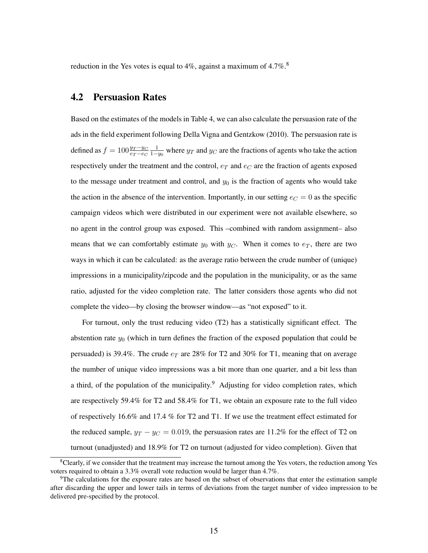reduction in the Yes votes is equal to  $4\%$ , against a maximum of  $4.7\%$ .<sup>8</sup>

### 4.2 Persuasion Rates

Based on the estimates of the models in Table 4, we can also calculate the persuasion rate of the ads in the field experiment following Della Vigna and Gentzkow (2010). The persuasion rate is defined as  $f = 100 \frac{y_T - y_C}{e_T - e_C} \frac{1}{1 - y_0}$  where  $y_T$  and  $y_C$  are the fractions of agents who take the action respectively under the treatment and the control,  $e_T$  and  $e_C$  are the fraction of agents exposed to the message under treatment and control, and  $y_0$  is the fraction of agents who would take the action in the absence of the intervention. Importantly, in our setting  $e_C = 0$  as the specific campaign videos which were distributed in our experiment were not available elsewhere, so no agent in the control group was exposed. This –combined with random assignment– also means that we can comfortably estimate  $y_0$  with  $y_C$ . When it comes to  $e_T$ , there are two ways in which it can be calculated: as the average ratio between the crude number of (unique) impressions in a municipality/zipcode and the population in the municipality, or as the same ratio, adjusted for the video completion rate. The latter considers those agents who did not complete the video—by closing the browser window—as "not exposed" to it.

For turnout, only the trust reducing video (T2) has a statistically significant effect. The abstention rate  $y_0$  (which in turn defines the fraction of the exposed population that could be persuaded) is 39.4%. The crude  $e_T$  are 28% for T2 and 30% for T1, meaning that on average the number of unique video impressions was a bit more than one quarter, and a bit less than a third, of the population of the municipality.<sup>9</sup> Adjusting for video completion rates, which are respectively 59.4% for T2 and 58.4% for T1, we obtain an exposure rate to the full video of respectively 16.6% and 17.4 % for T2 and T1. If we use the treatment effect estimated for the reduced sample,  $y_T - y_C = 0.019$ , the persuasion rates are 11.2% for the effect of T2 on turnout (unadjusted) and 18.9% for T2 on turnout (adjusted for video completion). Given that

 ${}^8$ Clearly, if we consider that the treatment may increase the turnout among the Yes voters, the reduction among Yes voters required to obtain a 3.3% overall vote reduction would be larger than 4.7%.

<sup>&</sup>lt;sup>9</sup>The calculations for the exposure rates are based on the subset of observations that enter the estimation sample after discarding the upper and lower tails in terms of deviations from the target number of video impression to be delivered pre-specified by the protocol.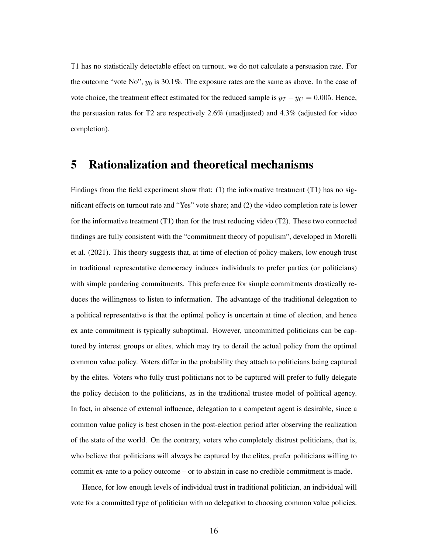T1 has no statistically detectable effect on turnout, we do not calculate a persuasion rate. For the outcome "vote No",  $y_0$  is 30.1%. The exposure rates are the same as above. In the case of vote choice, the treatment effect estimated for the reduced sample is  $y_T - y_C = 0.005$ . Hence, the persuasion rates for T2 are respectively 2.6% (unadjusted) and 4.3% (adjusted for video completion).

### 5 Rationalization and theoretical mechanisms

Findings from the field experiment show that: (1) the informative treatment  $(T1)$  has no significant effects on turnout rate and "Yes" vote share; and (2) the video completion rate is lower for the informative treatment  $(T1)$  than for the trust reducing video  $(T2)$ . These two connected findings are fully consistent with the "commitment theory of populism", developed in Morelli et al. (2021). This theory suggests that, at time of election of policy-makers, low enough trust in traditional representative democracy induces individuals to prefer parties (or politicians) with simple pandering commitments. This preference for simple commitments drastically reduces the willingness to listen to information. The advantage of the traditional delegation to a political representative is that the optimal policy is uncertain at time of election, and hence ex ante commitment is typically suboptimal. However, uncommitted politicians can be captured by interest groups or elites, which may try to derail the actual policy from the optimal common value policy. Voters differ in the probability they attach to politicians being captured by the elites. Voters who fully trust politicians not to be captured will prefer to fully delegate the policy decision to the politicians, as in the traditional trustee model of political agency. In fact, in absence of external influence, delegation to a competent agent is desirable, since a common value policy is best chosen in the post-election period after observing the realization of the state of the world. On the contrary, voters who completely distrust politicians, that is, who believe that politicians will always be captured by the elites, prefer politicians willing to commit ex-ante to a policy outcome – or to abstain in case no credible commitment is made.

Hence, for low enough levels of individual trust in traditional politician, an individual will vote for a committed type of politician with no delegation to choosing common value policies.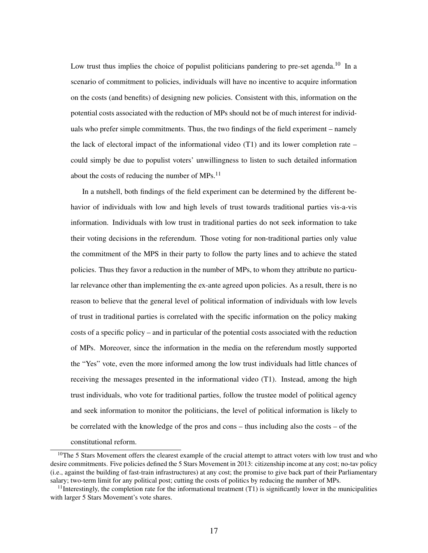Low trust thus implies the choice of populist politicians pandering to pre-set agenda.<sup>10</sup> In a scenario of commitment to policies, individuals will have no incentive to acquire information on the costs (and benefits) of designing new policies. Consistent with this, information on the potential costs associated with the reduction of MPs should not be of much interest for individuals who prefer simple commitments. Thus, the two findings of the field experiment – namely the lack of electoral impact of the informational video  $(T1)$  and its lower completion rate – could simply be due to populist voters' unwillingness to listen to such detailed information about the costs of reducing the number of MPs. $^{11}$ 

In a nutshell, both findings of the field experiment can be determined by the different behavior of individuals with low and high levels of trust towards traditional parties vis-a-vis information. Individuals with low trust in traditional parties do not seek information to take their voting decisions in the referendum. Those voting for non-traditional parties only value the commitment of the MPS in their party to follow the party lines and to achieve the stated policies. Thus they favor a reduction in the number of MPs, to whom they attribute no particular relevance other than implementing the ex-ante agreed upon policies. As a result, there is no reason to believe that the general level of political information of individuals with low levels of trust in traditional parties is correlated with the specific information on the policy making costs of a specific policy – and in particular of the potential costs associated with the reduction of MPs. Moreover, since the information in the media on the referendum mostly supported the "Yes" vote, even the more informed among the low trust individuals had little chances of receiving the messages presented in the informational video (T1). Instead, among the high trust individuals, who vote for traditional parties, follow the trustee model of political agency and seek information to monitor the politicians, the level of political information is likely to be correlated with the knowledge of the pros and cons – thus including also the costs – of the constitutional reform.

 $10$ The 5 Stars Movement offers the clearest example of the crucial attempt to attract voters with low trust and who desire commitments. Five policies defined the 5 Stars Movement in 2013: citizenship income at any cost; no-tav policy (i.e., against the building of fast-train infrastructures) at any cost; the promise to give back part of their Parliamentary salary; two-term limit for any political post; cutting the costs of politics by reducing the number of MPs.

 $11$ Interestingly, the completion rate for the informational treatment (T1) is significantly lower in the municipalities with larger 5 Stars Movement's vote shares.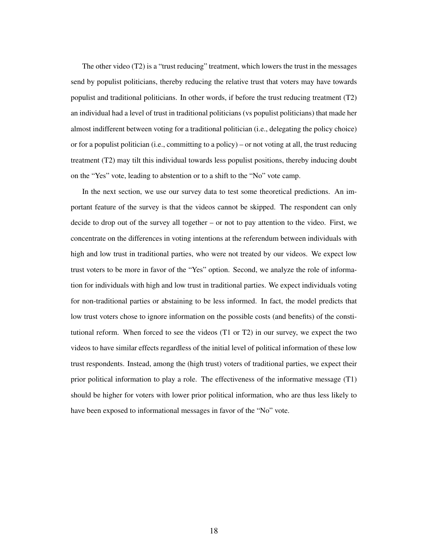The other video (T2) is a "trust reducing" treatment, which lowers the trust in the messages send by populist politicians, thereby reducing the relative trust that voters may have towards populist and traditional politicians. In other words, if before the trust reducing treatment (T2) an individual had a level of trust in traditional politicians (vs populist politicians) that made her almost indifferent between voting for a traditional politician (i.e., delegating the policy choice) or for a populist politician (i.e., committing to a policy) – or not voting at all, the trust reducing treatment (T2) may tilt this individual towards less populist positions, thereby inducing doubt on the "Yes" vote, leading to abstention or to a shift to the "No" vote camp.

In the next section, we use our survey data to test some theoretical predictions. An important feature of the survey is that the videos cannot be skipped. The respondent can only decide to drop out of the survey all together – or not to pay attention to the video. First, we concentrate on the differences in voting intentions at the referendum between individuals with high and low trust in traditional parties, who were not treated by our videos. We expect low trust voters to be more in favor of the "Yes" option. Second, we analyze the role of information for individuals with high and low trust in traditional parties. We expect individuals voting for non-traditional parties or abstaining to be less informed. In fact, the model predicts that low trust voters chose to ignore information on the possible costs (and benefits) of the constitutional reform. When forced to see the videos (T1 or T2) in our survey, we expect the two videos to have similar effects regardless of the initial level of political information of these low trust respondents. Instead, among the (high trust) voters of traditional parties, we expect their prior political information to play a role. The effectiveness of the informative message (T1) should be higher for voters with lower prior political information, who are thus less likely to have been exposed to informational messages in favor of the "No" vote.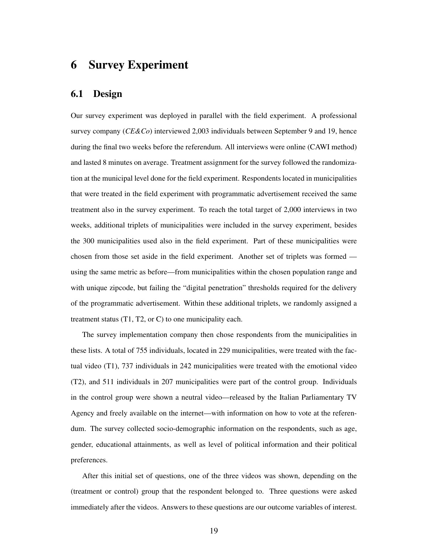### 6 Survey Experiment

#### 6.1 Design

Our survey experiment was deployed in parallel with the field experiment. A professional survey company (*CE&Co*) interviewed 2,003 individuals between September 9 and 19, hence during the final two weeks before the referendum. All interviews were online (CAWI method) and lasted 8 minutes on average. Treatment assignment for the survey followed the randomization at the municipal level done for the field experiment. Respondents located in municipalities that were treated in the field experiment with programmatic advertisement received the same treatment also in the survey experiment. To reach the total target of 2,000 interviews in two weeks, additional triplets of municipalities were included in the survey experiment, besides the 300 municipalities used also in the field experiment. Part of these municipalities were chosen from those set aside in the field experiment. Another set of triplets was formed using the same metric as before—from municipalities within the chosen population range and with unique zipcode, but failing the "digital penetration" thresholds required for the delivery of the programmatic advertisement. Within these additional triplets, we randomly assigned a treatment status (T1, T2, or C) to one municipality each.

The survey implementation company then chose respondents from the municipalities in these lists. A total of 755 individuals, located in 229 municipalities, were treated with the factual video (T1), 737 individuals in 242 municipalities were treated with the emotional video (T2), and 511 individuals in 207 municipalities were part of the control group. Individuals in the control group were shown a neutral video—released by the Italian Parliamentary TV Agency and freely available on the internet—with information on how to vote at the referendum. The survey collected socio-demographic information on the respondents, such as age, gender, educational attainments, as well as level of political information and their political preferences.

After this initial set of questions, one of the three videos was shown, depending on the (treatment or control) group that the respondent belonged to. Three questions were asked immediately after the videos. Answers to these questions are our outcome variables of interest.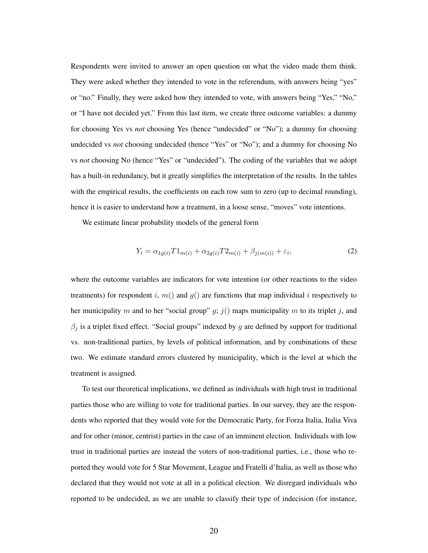Respondents were invited to answer an open question on what the video made them think. They were asked whether they intended to vote in the referendum, with answers being "yes" or "no." Finally, they were asked how they intended to vote, with answers being "Yes," "No," or "I have not decided yet." From this last item, we create three outcome variables: a dummy for choosing Yes vs *not* choosing Yes (hence "undecided" or "No"); a dummy for choosing undecided vs *not* choosing undecided (hence "Yes" or "No"); and a dummy for choosing No vs *not* choosing No (hence "Yes" or "undecided"). The coding of the variables that we adopt has a built-in redundancy, but it greatly simplifies the interpretation of the results. In the tables with the empirical results, the coefficients on each row sum to zero (up to decimal rounding), hence it is easier to understand how a treatment, in a loose sense, "moves" vote intentions.

We estimate linear probability models of the general form

$$
Y_i = \alpha_{1g(i)} T 1_{m(i)} + \alpha_{2g(i)} T 2_{m(i)} + \beta_{j(m(i))} + \varepsilon_i,
$$
\n(2)

where the outcome variables are indicators for vote intention (or other reactions to the video treatments) for respondent i,  $m()$  and  $g()$  are functions that map individual i respectively to her municipality m and to her "social group"  $g$ ;  $j$ () maps municipality m to its triplet j, and  $\beta_j$  is a triplet fixed effect. "Social groups" indexed by g are defined by support for traditional vs. non-traditional parties, by levels of political information, and by combinations of these two. We estimate standard errors clustered by municipality, which is the level at which the treatment is assigned.

To test our theoretical implications, we defined as individuals with high trust in traditional parties those who are willing to vote for traditional parties. In our survey, they are the respondents who reported that they would vote for the Democratic Party, for Forza Italia, Italia Viva and for other (minor, centrist) parties in the case of an imminent election. Individuals with low trust in traditional parties are instead the voters of non-traditional parties, i.e., those who reported they would vote for 5 Star Movement, League and Fratelli d'Italia, as well as those who declared that they would not vote at all in a political election. We disregard individuals who reported to be undecided, as we are unable to classify their type of indecision (for instance,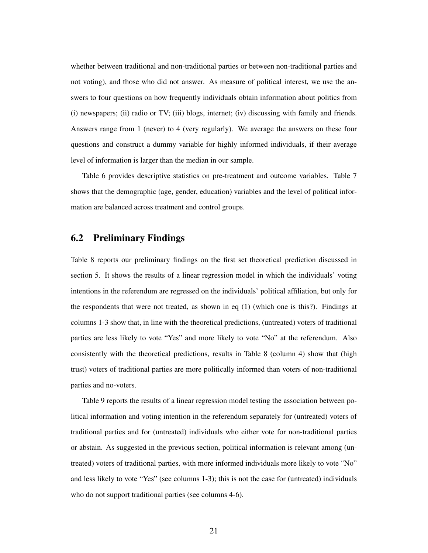whether between traditional and non-traditional parties or between non-traditional parties and not voting), and those who did not answer. As measure of political interest, we use the answers to four questions on how frequently individuals obtain information about politics from (i) newspapers; (ii) radio or TV; (iii) blogs, internet; (iv) discussing with family and friends. Answers range from 1 (never) to 4 (very regularly). We average the answers on these four questions and construct a dummy variable for highly informed individuals, if their average level of information is larger than the median in our sample.

Table 6 provides descriptive statistics on pre-treatment and outcome variables. Table 7 shows that the demographic (age, gender, education) variables and the level of political information are balanced across treatment and control groups.

#### 6.2 Preliminary Findings

Table 8 reports our preliminary findings on the first set theoretical prediction discussed in section 5. It shows the results of a linear regression model in which the individuals' voting intentions in the referendum are regressed on the individuals' political affiliation, but only for the respondents that were not treated, as shown in eq (1) (which one is this?). Findings at columns 1-3 show that, in line with the theoretical predictions, (untreated) voters of traditional parties are less likely to vote "Yes" and more likely to vote "No" at the referendum. Also consistently with the theoretical predictions, results in Table 8 (column 4) show that (high trust) voters of traditional parties are more politically informed than voters of non-traditional parties and no-voters.

Table 9 reports the results of a linear regression model testing the association between political information and voting intention in the referendum separately for (untreated) voters of traditional parties and for (untreated) individuals who either vote for non-traditional parties or abstain. As suggested in the previous section, political information is relevant among (untreated) voters of traditional parties, with more informed individuals more likely to vote "No" and less likely to vote "Yes" (see columns 1-3); this is not the case for (untreated) individuals who do not support traditional parties (see columns 4-6).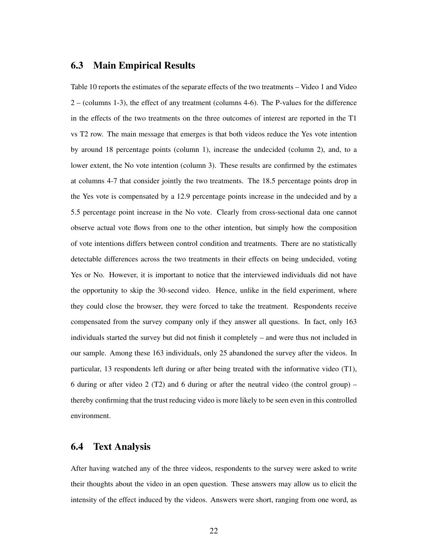#### 6.3 Main Empirical Results

Table 10 reports the estimates of the separate effects of the two treatments – Video 1 and Video 2 – (columns 1-3), the effect of any treatment (columns 4-6). The P-values for the difference in the effects of the two treatments on the three outcomes of interest are reported in the T1 vs T2 row. The main message that emerges is that both videos reduce the Yes vote intention by around 18 percentage points (column 1), increase the undecided (column 2), and, to a lower extent, the No vote intention (column 3). These results are confirmed by the estimates at columns 4-7 that consider jointly the two treatments. The 18.5 percentage points drop in the Yes vote is compensated by a 12.9 percentage points increase in the undecided and by a 5.5 percentage point increase in the No vote. Clearly from cross-sectional data one cannot observe actual vote flows from one to the other intention, but simply how the composition of vote intentions differs between control condition and treatments. There are no statistically detectable differences across the two treatments in their effects on being undecided, voting Yes or No. However, it is important to notice that the interviewed individuals did not have the opportunity to skip the 30-second video. Hence, unlike in the field experiment, where they could close the browser, they were forced to take the treatment. Respondents receive compensated from the survey company only if they answer all questions. In fact, only 163 individuals started the survey but did not finish it completely – and were thus not included in our sample. Among these 163 individuals, only 25 abandoned the survey after the videos. In particular, 13 respondents left during or after being treated with the informative video (T1), 6 during or after video 2 (T2) and 6 during or after the neutral video (the control group) – thereby confirming that the trust reducing video is more likely to be seen even in this controlled environment.

### 6.4 Text Analysis

After having watched any of the three videos, respondents to the survey were asked to write their thoughts about the video in an open question. These answers may allow us to elicit the intensity of the effect induced by the videos. Answers were short, ranging from one word, as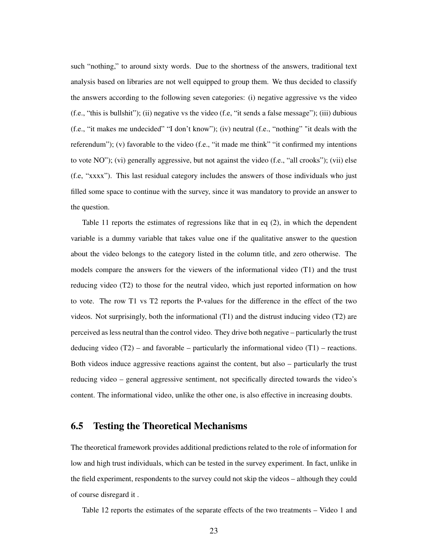such "nothing," to around sixty words. Due to the shortness of the answers, traditional text analysis based on libraries are not well equipped to group them. We thus decided to classify the answers according to the following seven categories: (i) negative aggressive vs the video (f.e., "this is bullshit"); (ii) negative vs the video (f.e, "it sends a false message"); (iii) dubious (f.e., "it makes me undecided" "I don't know"); (iv) neutral (f.e., "nothing" "it deals with the referendum"); (v) favorable to the video (f.e., "it made me think" "it confirmed my intentions to vote NO"); (vi) generally aggressive, but not against the video (f.e., "all crooks"); (vii) else (f.e, "xxxx"). This last residual category includes the answers of those individuals who just filled some space to continue with the survey, since it was mandatory to provide an answer to the question.

Table 11 reports the estimates of regressions like that in eq (2), in which the dependent variable is a dummy variable that takes value one if the qualitative answer to the question about the video belongs to the category listed in the column title, and zero otherwise. The models compare the answers for the viewers of the informational video (T1) and the trust reducing video (T2) to those for the neutral video, which just reported information on how to vote. The row T1 vs T2 reports the P-values for the difference in the effect of the two videos. Not surprisingly, both the informational (T1) and the distrust inducing video (T2) are perceived as less neutral than the control video. They drive both negative – particularly the trust deducing video  $(T2)$  – and favorable – particularly the informational video  $(T1)$  – reactions. Both videos induce aggressive reactions against the content, but also – particularly the trust reducing video – general aggressive sentiment, not specifically directed towards the video's content. The informational video, unlike the other one, is also effective in increasing doubts.

#### 6.5 Testing the Theoretical Mechanisms

The theoretical framework provides additional predictions related to the role of information for low and high trust individuals, which can be tested in the survey experiment. In fact, unlike in the field experiment, respondents to the survey could not skip the videos – although they could of course disregard it .

Table 12 reports the estimates of the separate effects of the two treatments – Video 1 and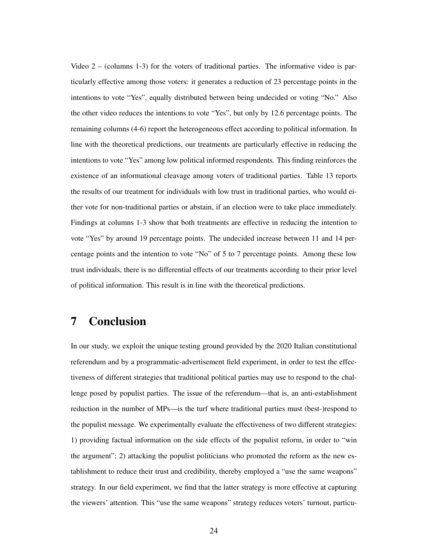Video  $2 - (columns 1-3)$  for the voters of traditional parties. The informative video is particularly effective among those voters: it generates a reduction of 23 percentage points in the intentions to vote "Yes", equally distributed between being undecided or voting "No." Also the other video reduces the intentions to vote "Yes", but only by 12.6 percentage points. The remaining columns (4-6) report the heterogeneous effect according to political information. In line with the theoretical predictions, our treatments are particularly effective in reducing the intentions to vote "Yes" among low political informed respondents. This finding reinforces the existence of an informational cleavage among voters of traditional parties. Table 13 reports the results of our treatment for individuals with low trust in traditional parties, who would either vote for non-traditional parties or abstain, if an election were to take place immediately. Findings at columns 1-3 show that both treatments are effective in reducing the intention to vote "Yes" by around 19 percentage points. The undecided increase between 11 and 14 percentage points and the intention to vote "No" of 5 to 7 percentage points. Among these low trust individuals, there is no differential effects of our treatments according to their prior level of political information. This result is in line with the theoretical predictions.

## 7 Conclusion

In our study, we exploit the unique testing ground provided by the 2020 Italian constitutional referendum and by a programmatic-advertisement field experiment, in order to test the effectiveness of different strategies that traditional political parties may use to respond to the challenge posed by populist parties. The issue of the referendum—that is, an anti-establishment reduction in the number of MPs—is the turf where traditional parties must (best-)respond to the populist message. We experimentally evaluate the effectiveness of two different strategies: 1) providing factual information on the side effects of the populist reform, in order to "win the argument"; 2) attacking the populist politicians who promoted the reform as the new establishment to reduce their trust and credibility, thereby employed a "use the same weapons" strategy. In our field experiment, we find that the latter strategy is more effective at capturing the viewers' attention. This "use the same weapons" strategy reduces voters' turnout, particu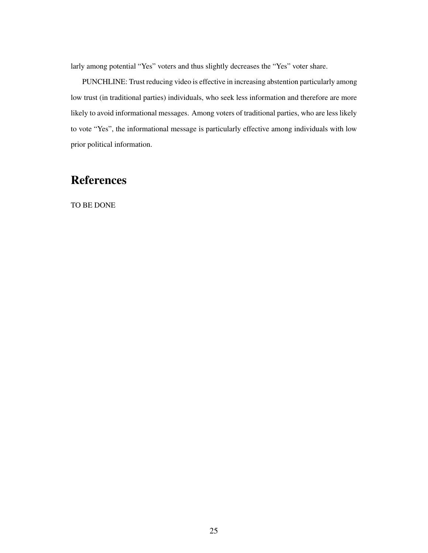larly among potential "Yes" voters and thus slightly decreases the "Yes" voter share.

PUNCHLINE: Trust reducing video is effective in increasing abstention particularly among low trust (in traditional parties) individuals, who seek less information and therefore are more likely to avoid informational messages. Among voters of traditional parties, who are less likely to vote "Yes", the informational message is particularly effective among individuals with low prior political information.

## **References**

TO BE DONE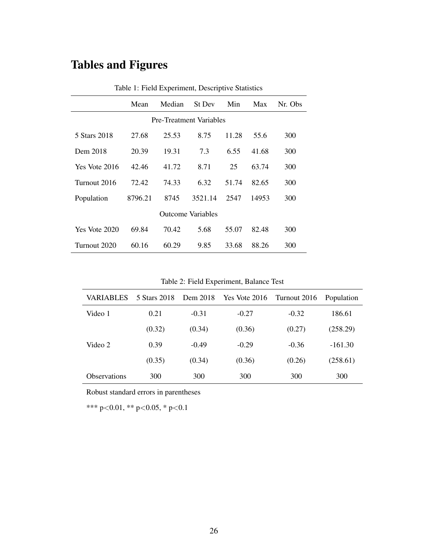# Tables and Figures

|               | Mean    | Median | St Dev                         | Min   | Max   | Nr. Obs |  |  |  |
|---------------|---------|--------|--------------------------------|-------|-------|---------|--|--|--|
|               |         |        | <b>Pre-Treatment Variables</b> |       |       |         |  |  |  |
| 5 Stars 2018  | 27.68   | 25.53  | 8.75                           | 11.28 | 55.6  | 300     |  |  |  |
| Dem 2018      | 20.39   | 19.31  | 7.3                            | 6.55  | 41.68 | 300     |  |  |  |
| Yes Vote 2016 | 42.46   | 41.72  | 8.71                           | 25    | 63.74 | 300     |  |  |  |
| Turnout 2016  | 72.42   | 74.33  | 6.32                           | 51.74 | 82.65 | 300     |  |  |  |
| Population    | 8796.21 | 8745   | 3521.14                        | 2547  | 14953 | 300     |  |  |  |
|               |         |        | <b>Outcome Variables</b>       |       |       |         |  |  |  |
| Yes Vote 2020 | 69.84   | 70.42  | 5.68                           | 55.07 | 82.48 | 300     |  |  |  |
| Turnout 2020  | 60.16   | 60.29  | 9.85                           | 33.68 | 88.26 | 300     |  |  |  |

Table 1: Field Experiment, Descriptive Statistics

Table 2: Field Experiment, Balance Test

| VARIABLES           | 5 Stars 2018 | Dem 2018 | Yes Vote 2016 | Turnout 2016 | Population |
|---------------------|--------------|----------|---------------|--------------|------------|
| Video 1             | 0.21         | $-0.31$  | $-0.27$       | $-0.32$      | 186.61     |
|                     | (0.32)       | (0.34)   | (0.36)        | (0.27)       | (258.29)   |
| Video 2             | 0.39         | $-0.49$  | $-0.29$       | $-0.36$      | $-161.30$  |
|                     | (0.35)       | (0.34)   | (0.36)        | (0.26)       | (258.61)   |
| <b>Observations</b> | 300          | 300      | 300           | 300          | 300        |

Robust standard errors in parentheses

\*\*\* p<0.01, \*\* p<0.05, \* p<0.1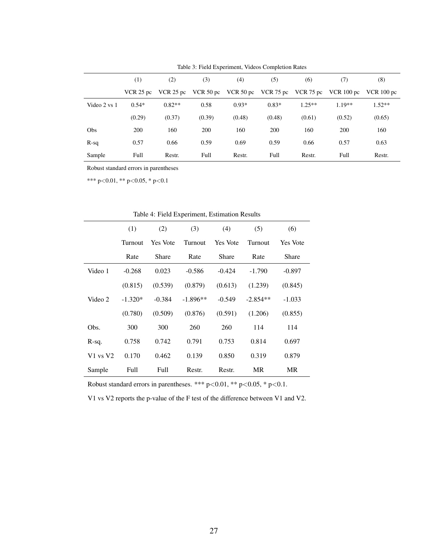|              | (1)         | (2)         | (3)                 | (4)         | (5)     | (6)      | (7)                            | (8)          |
|--------------|-------------|-------------|---------------------|-------------|---------|----------|--------------------------------|--------------|
|              | VCR $25$ pc | VCR $25$ pc | VCR $50 \text{ pc}$ | VCR $50$ pc |         |          | VCR 75 pc VCR 75 pc VCR 100 pc | VCR $100$ pc |
| Video 2 vs 1 | $0.54*$     | $0.82**$    | 0.58                | $0.93*$     | $0.83*$ | $1.25**$ | $1.19**$                       | $1.52**$     |
|              | (0.29)      | (0.37)      | (0.39)              | (0.48)      | (0.48)  | (0.61)   | (0.52)                         | (0.65)       |
| Obs          | 200         | 160         | 200                 | 160         | 200     | 160      | 200                            | 160          |
| $R-sq$       | 0.57        | 0.66        | 0.59                | 0.69        | 0.59    | 0.66     | 0.57                           | 0.63         |
| Sample       | Full        | Restr.      | Full                | Restr.      | Full    | Restr.   | Full                           | Restr.       |

Table 3: Field Experiment, Videos Completion Rates

Robust standard errors in parentheses

\*\*\* p<0.01, \*\* p<0.05, \* p<0.1

|              | (1)       | (2)             | (3)        | (4)             | (5)        | (6)             |
|--------------|-----------|-----------------|------------|-----------------|------------|-----------------|
|              | Turnout   | <b>Yes Vote</b> | Turnout    | <b>Yes Vote</b> | Turnout    | <b>Yes Vote</b> |
|              | Rate      | Share           | Rate       | Share           | Rate       | Share           |
| Video 1      | $-0.268$  | 0.023           | $-0.586$   | $-0.424$        | $-1.790$   | $-0.897$        |
|              | (0.815)   | (0.539)         | (0.879)    | (0.613)         | (1.239)    | (0.845)         |
| Video 2      | $-1.320*$ | $-0.384$        | $-1.896**$ | $-0.549$        | $-2.854**$ | $-1.033$        |
|              | (0.780)   | (0.509)         | (0.876)    | (0.591)         | (1.206)    | (0.855)         |
| Obs.         | 300       | 300             | 260        | 260             | 114        | 114             |
| R-sq.        | 0.758     | 0.742           | 0.791      | 0.753           | 0.814      | 0.697           |
| $V1$ vs $V2$ | 0.170     | 0.462           | 0.139      | 0.850           | 0.319      | 0.879           |
| Sample       | Full      | Full            | Restr.     | Restr.          | <b>MR</b>  | <b>MR</b>       |

Table 4: Field Experiment, Estimation Results

Robust standard errors in parentheses. \*\*\*  $p<0.01$ , \*\*  $p<0.05$ , \*  $p<0.1$ .

V1 vs V2 reports the p-value of the F test of the difference between V1 and V2.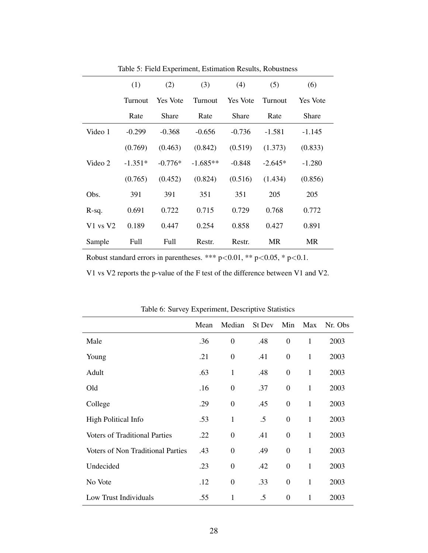|              | (1)       | (2)       | (3)        | (4)             | (5)       | (6)             |
|--------------|-----------|-----------|------------|-----------------|-----------|-----------------|
|              | Turnout   | Yes Vote  | Turnout    | <b>Yes Vote</b> | Turnout   | <b>Yes</b> Vote |
|              | Rate      | Share     | Rate       | Share           | Rate      | Share           |
| Video 1      | $-0.299$  | $-0.368$  | $-0.656$   | $-0.736$        | $-1.581$  | $-1.145$        |
|              | (0.769)   | (0.463)   | (0.842)    | (0.519)         | (1.373)   | (0.833)         |
| Video 2      | $-1.351*$ | $-0.776*$ | $-1.685**$ | $-0.848$        | $-2.645*$ | $-1.280$        |
|              | (0.765)   | (0.452)   | (0.824)    | (0.516)         | (1.434)   | (0.856)         |
| Obs.         | 391       | 391       | 351        | 351             | 205       | 205             |
| R-sq.        | 0.691     | 0.722     | 0.715      | 0.729           | 0.768     | 0.772           |
| $V1$ vs $V2$ | 0.189     | 0.447     | 0.254      | 0.858           | 0.427     | 0.891           |
| Sample       | Full      | Full      | Restr.     | Restr.          | MR        | MR              |

Table 5: Field Experiment, Estimation Results, Robustness

Robust standard errors in parentheses. \*\*\*  $p<0.01$ , \*\*  $p<0.05$ , \*  $p<0.1$ .

V1 vs V2 reports the p-value of the F test of the difference between V1 and V2.

|                                      | Mean | Median           | St Dev | Min              | Max          | Nr. Obs |
|--------------------------------------|------|------------------|--------|------------------|--------------|---------|
| Male                                 | .36  | $\boldsymbol{0}$ | .48    | $\boldsymbol{0}$ | $\mathbf{1}$ | 2003    |
| Young                                | .21  | $\boldsymbol{0}$ | .41    | $\overline{0}$   | $\mathbf{1}$ | 2003    |
| Adult                                | .63  | $\mathbf{1}$     | .48    | $\overline{0}$   | $\mathbf{1}$ | 2003    |
| Old                                  | .16  | $\boldsymbol{0}$ | .37    | $\boldsymbol{0}$ | $\mathbf{1}$ | 2003    |
| College                              | .29  | $\boldsymbol{0}$ | .45    | $\overline{0}$   | $\mathbf{1}$ | 2003    |
| <b>High Political Info</b>           | .53  | $\mathbf{1}$     | .5     | $\boldsymbol{0}$ | $\mathbf{1}$ | 2003    |
| <b>Voters of Traditional Parties</b> | .22  | $\boldsymbol{0}$ | .41    | $\boldsymbol{0}$ | $\mathbf{1}$ | 2003    |
| Voters of Non Traditional Parties    | .43  | $\boldsymbol{0}$ | .49    | $\boldsymbol{0}$ | $\mathbf{1}$ | 2003    |
| Undecided                            | .23  | $\boldsymbol{0}$ | .42    | $\boldsymbol{0}$ | $\mathbf{1}$ | 2003    |
| No Vote                              | .12  | $\boldsymbol{0}$ | .33    | $\boldsymbol{0}$ | $\mathbf{1}$ | 2003    |
| Low Trust Individuals                | .55  | $\mathbf{1}$     | .5     | $\overline{0}$   | $\mathbf{1}$ | 2003    |

Table 6: Survey Experiment, Descriptive Statistics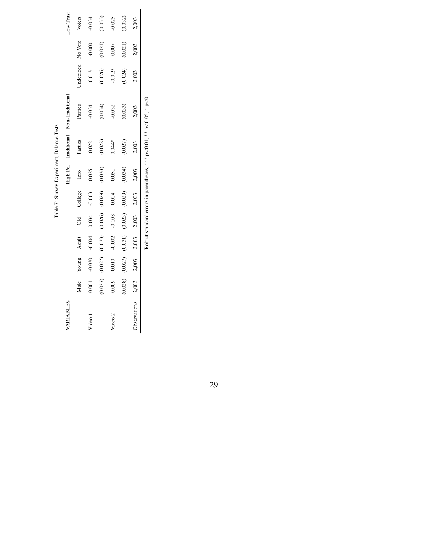|              |         |          |              |          |             |         | Table 7: Survey Experiment, Balance Tests |                                                                                     |                   |          |           |
|--------------|---------|----------|--------------|----------|-------------|---------|-------------------------------------------|-------------------------------------------------------------------------------------|-------------------|----------|-----------|
| VARIABLES    |         |          |              |          |             |         |                                           | High Pol Traditional Non-Traditional                                                |                   |          | Low Trust |
|              | Male    | Young    | <b>Adult</b> |          | Old College | Info    | Parties                                   | Parties                                                                             | Undecided No Vote |          | Voters    |
| Video        | 0.001   | $-0.030$ | $-0.004$     | 0.034    | $-0.003$    | 0.025   | 0.022                                     | $-0.034$                                                                            | 0.013             | $-0.000$ | $-0.034$  |
|              | (0.027) | (0.027)  | (0.033)      | (0.026)  | (0.029)     | (0.033) | (0.028)                                   | (0.034)                                                                             | (0.026)           | (0.021)  | (0.033)   |
| Video 2      | 0.009   | 0.010    | $-0.002$     | $-0.008$ | 0.004       | 0.051   | $0.044*$                                  | $-0.032$                                                                            | $-0.019$          | 0.007    | 0.025     |
|              | (0.028) | (0.027)  | (0.031)      | (0.023)  | (0.029)     | (0.034) | (0.027)                                   | (0.033)                                                                             | (0.024)           | (0.021)  | (0.032)   |
| Observations | 2,003   | 2,003    | 2,003        | 2,003    | 2,003       | 2,003   | 2,003                                     | 2,003                                                                               | 2,003             | 2,003    | 2,003     |
|              |         |          |              |          |             |         |                                           | Robust standard errors in parentheses, *** $p < 0.01$ , ** $p < 0.05$ , * $p < 0.1$ |                   |          |           |

29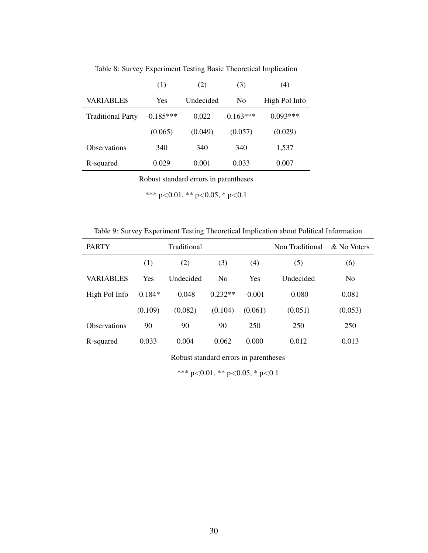|                          | (1)         | (2)       | (3)        | (4)           |
|--------------------------|-------------|-----------|------------|---------------|
| <b>VARIABLES</b>         | <b>Yes</b>  | Undecided | No         | High Pol Info |
| <b>Traditional Party</b> | $-0.185***$ | 0.022     | $0.163***$ | $0.093***$    |
|                          | (0.065)     | (0.049)   | (0.057)    | (0.029)       |
| Observations             | 340         | 340       | 340        | 1,537         |
| R-squared                | 0.029       | 0.001     | 0.033      | 0.007         |

Table 8: Survey Experiment Testing Basic Theoretical Implication

Robust standard errors in parentheses

\*\*\* p<0.01, \*\* p<0.05, \* p<0.1

Table 9: Survey Experiment Testing Theoretical Implication about Political Information

| <b>PARTY</b>        |           | Traditional      |                |            | Non Traditional | & No Voters |
|---------------------|-----------|------------------|----------------|------------|-----------------|-------------|
|                     | (1)       | (2)              | (3)            | (4)        | (5)             | (6)         |
| <b>VARIABLES</b>    | Yes       | <b>Undecided</b> | N <sub>0</sub> | <b>Yes</b> | Undecided       | No          |
| High Pol Info       | $-0.184*$ | $-0.048$         | $0.232**$      | $-0.001$   | $-0.080$        | 0.081       |
|                     | (0.109)   | (0.082)          | (0.104)        | (0.061)    | (0.051)         | (0.053)     |
| <b>Observations</b> | 90        | 90               | 90             | 250        | 250             | 250         |
| R-squared           | 0.033     | 0.004            | 0.062          | 0.000      | 0.012           | 0.013       |

Robust standard errors in parentheses

\*\*\* p<0.01, \*\* p<0.05, \* p<0.1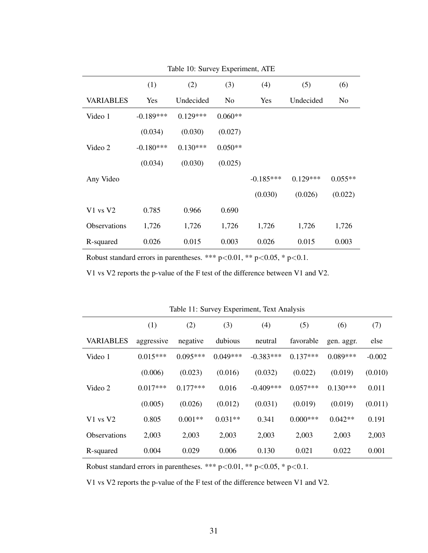|                     | (1)         | (2)        | (3)            | (4)         | (5)        | (6)       |
|---------------------|-------------|------------|----------------|-------------|------------|-----------|
| <b>VARIABLES</b>    | Yes         | Undecided  | N <sub>0</sub> | Yes         | Undecided  | No.       |
| Video 1             | $-0.189***$ | $0.129***$ | $0.060**$      |             |            |           |
|                     | (0.034)     | (0.030)    | (0.027)        |             |            |           |
| Video 2             | $-0.180***$ | $0.130***$ | $0.050**$      |             |            |           |
|                     | (0.034)     | (0.030)    | (0.025)        |             |            |           |
| Any Video           |             |            |                | $-0.185***$ | $0.129***$ | $0.055**$ |
|                     |             |            |                | (0.030)     | (0.026)    | (0.022)   |
| $V1$ vs $V2$        | 0.785       | 0.966      | 0.690          |             |            |           |
| <b>Observations</b> | 1,726       | 1,726      | 1,726          | 1,726       | 1,726      | 1,726     |
| R-squared           | 0.026       | 0.015      | 0.003          | 0.026       | 0.015      | 0.003     |

Table 10: Survey Experiment, ATE

Robust standard errors in parentheses. \*\*\*  $p<0.01$ , \*\*  $p<0.05$ , \*  $p<0.1$ .

V1 vs V2 reports the p-value of the F test of the difference between V1 and V2.

|                     | (1)        | (2)        | (3)        | (4)         | (5)        | (6)        | (7)      |
|---------------------|------------|------------|------------|-------------|------------|------------|----------|
| <b>VARIABLES</b>    | aggressive | negative   | dubious    | neutral     | favorable  | gen. aggr. | else     |
| Video 1             | $0.015***$ | $0.095***$ | $0.049***$ | $-0.383***$ | $0.137***$ | $0.089***$ | $-0.002$ |
|                     | (0.006)    | (0.023)    | (0.016)    | (0.032)     | (0.022)    | (0.019)    | (0.010)  |
| Video 2             | $0.017***$ | $0.177***$ | 0.016      | $-0.409***$ | $0.057***$ | $0.130***$ | 0.011    |
|                     | (0.005)    | (0.026)    | (0.012)    | (0.031)     | (0.019)    | (0.019)    | (0.011)  |
| $V1$ vs $V2$        | 0.805      | $0.001**$  | $0.031**$  | 0.341       | $0.000***$ | $0.042**$  | 0.191    |
| <b>Observations</b> | 2,003      | 2,003      | 2,003      | 2,003       | 2,003      | 2,003      | 2,003    |
| R-squared           | 0.004      | 0.029      | 0.006      | 0.130       | 0.021      | 0.022      | 0.001    |

Table 11: Survey Experiment, Text Analysis

Robust standard errors in parentheses. \*\*\*  $p<0.01$ , \*\*  $p<0.05$ , \*  $p<0.1$ .

V1 vs V2 reports the p-value of the F test of the difference between V1 and V2.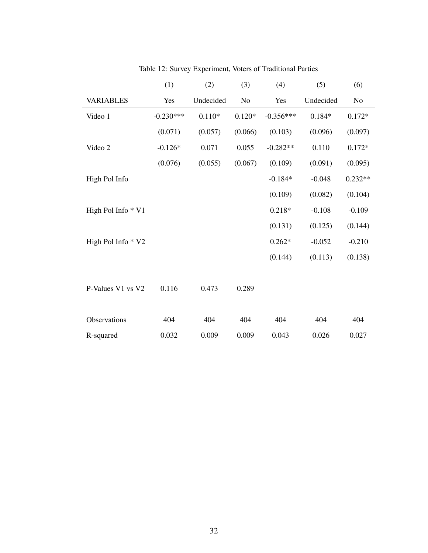|                    | (1)         | (2)       | (3)      | (4)         | (5)       | (6)            |
|--------------------|-------------|-----------|----------|-------------|-----------|----------------|
| <b>VARIABLES</b>   | Yes         | Undecided | No       | Yes         | Undecided | N <sub>o</sub> |
| Video 1            | $-0.230***$ | $0.110*$  | $0.120*$ | $-0.356***$ | $0.184*$  | $0.172*$       |
|                    | (0.071)     | (0.057)   | (0.066)  | (0.103)     | (0.096)   | (0.097)        |
| Video 2            | $-0.126*$   | 0.071     | 0.055    | $-0.282**$  | 0.110     | $0.172*$       |
|                    | (0.076)     | (0.055)   | (0.067)  | (0.109)     | (0.091)   | (0.095)        |
| High Pol Info      |             |           |          | $-0.184*$   | $-0.048$  | $0.232**$      |
|                    |             |           |          | (0.109)     | (0.082)   | (0.104)        |
| High Pol Info * V1 |             |           |          | $0.218*$    | $-0.108$  | $-0.109$       |
|                    |             |           |          | (0.131)     | (0.125)   | (0.144)        |
| High Pol Info * V2 |             |           |          | $0.262*$    | $-0.052$  | $-0.210$       |
|                    |             |           |          | (0.144)     | (0.113)   | (0.138)        |
|                    |             |           |          |             |           |                |
| P-Values V1 vs V2  | 0.116       | 0.473     | 0.289    |             |           |                |
|                    |             |           |          |             |           |                |
| Observations       | 404         | 404       | 404      | 404         | 404       | 404            |
| R-squared          | 0.032       | 0.009     | 0.009    | 0.043       | 0.026     | 0.027          |

Table 12: Survey Experiment, Voters of Traditional Parties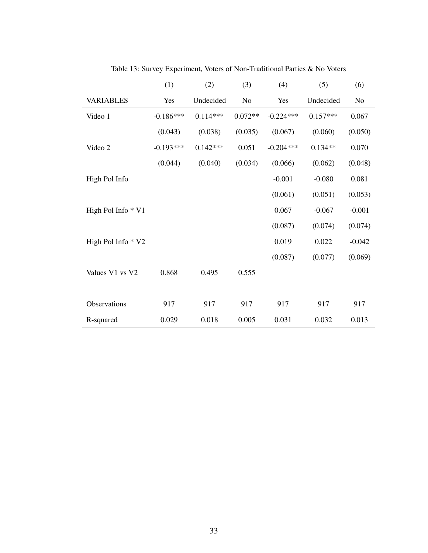|                    | (1)         | (2)        | (3)       | (4)         | (5)        | (6)      |
|--------------------|-------------|------------|-----------|-------------|------------|----------|
| <b>VARIABLES</b>   | Yes         | Undecided  | No        | Yes         | Undecided  | No       |
| Video 1            | $-0.186***$ | $0.114***$ | $0.072**$ | $-0.224***$ | $0.157***$ | 0.067    |
|                    | (0.043)     | (0.038)    | (0.035)   | (0.067)     | (0.060)    | (0.050)  |
| Video 2            | $-0.193***$ | $0.142***$ | 0.051     | $-0.204***$ | $0.134**$  | 0.070    |
|                    | (0.044)     | (0.040)    | (0.034)   | (0.066)     | (0.062)    | (0.048)  |
| High Pol Info      |             |            |           | $-0.001$    | $-0.080$   | 0.081    |
|                    |             |            |           | (0.061)     | (0.051)    | (0.053)  |
| High Pol Info * V1 |             |            |           | 0.067       | $-0.067$   | $-0.001$ |
|                    |             |            |           | (0.087)     | (0.074)    | (0.074)  |
| High Pol Info * V2 |             |            |           | 0.019       | 0.022      | $-0.042$ |
|                    |             |            |           | (0.087)     | (0.077)    | (0.069)  |
| Values V1 vs V2    | 0.868       | 0.495      | 0.555     |             |            |          |
|                    |             |            |           |             |            |          |
| Observations       | 917         | 917        | 917       | 917         | 917        | 917      |
| R-squared          | 0.029       | 0.018      | 0.005     | 0.031       | 0.032      | 0.013    |

Table 13: Survey Experiment, Voters of Non-Traditional Parties & No Voters